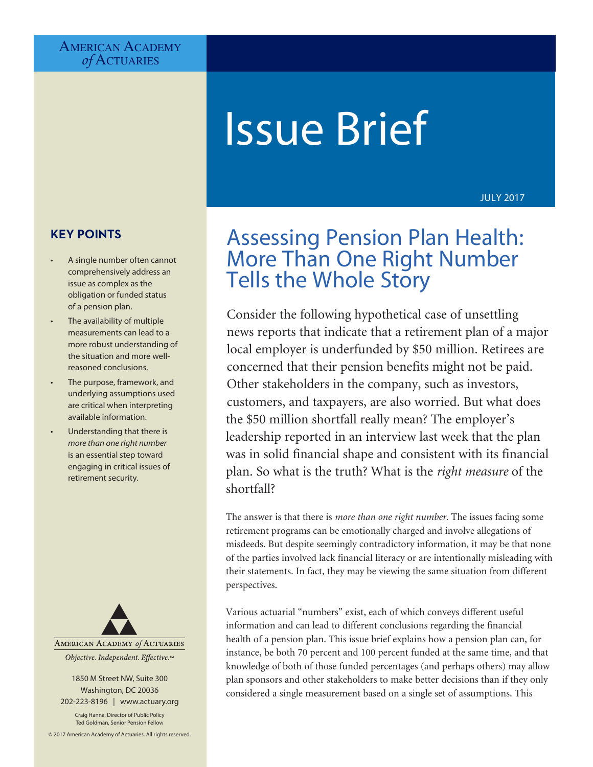# AMERICAN ACADEMY *of* Actuaries

# Issue Brief

#### JULY 2017

# **KEY POINTS**

- A single number often cannot comprehensively address an issue as complex as the obligation or funded status of a pension plan.
- The availability of multiple measurements can lead to a more robust understanding of the situation and more wellreasoned conclusions.
- The purpose, framework, and underlying assumptions used are critical when interpreting available information.
- Understanding that there is *more than one right number*  is an essential step toward engaging in critical issues of retirement security.



1850 M Street NW, Suite 300 Washington, DC 20036 202-223-8196 | [www.actuary.org](http://www.actuary.org)

Craig Hanna, Director of Public Policy Ted Goldman, Senior Pension Fellow

© 2017 American Academy of Actuaries. All rights reserved.

# Assessing Pension Plan Health: More Than One Right Number Tells the Whole Story

Consider the following hypothetical case of unsettling news reports that indicate that a retirement plan of a major local employer is underfunded by \$50 million. Retirees are concerned that their pension benefits might not be paid. Other stakeholders in the company, such as investors, customers, and taxpayers, are also worried. But what does the \$50 million shortfall really mean? The employer's leadership reported in an interview last week that the plan was in solid financial shape and consistent with its financial plan. So what is the truth? What is the *right measure* of the shortfall?

The answer is that there is *more than one right number*. The issues facing some retirement programs can be emotionally charged and involve allegations of misdeeds. But despite seemingly contradictory information, it may be that none of the parties involved lack financial literacy or are intentionally misleading with their statements. In fact, they may be viewing the same situation from different perspectives.

Various actuarial "numbers" exist, each of which conveys different useful information and can lead to different conclusions regarding the financial health of a pension plan. This issue brief explains how a pension plan can, for instance, be both 70 percent and 100 percent funded at the same time, and that knowledge of both of those funded percentages (and perhaps others) may allow plan sponsors and other stakeholders to make better decisions than if they only considered a single measurement based on a single set of assumptions. This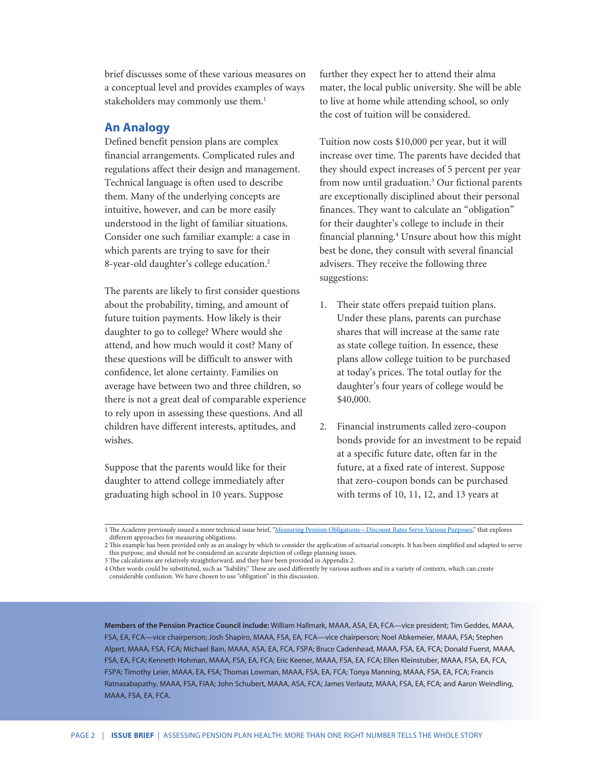brief discusses some of these various measures on a conceptual level and provides examples of ways stakeholders may commonly use them.<sup>1</sup>

#### **An Analogy**

Defined benefit pension plans are complex financial arrangements. Complicated rules and regulations affect their design and management. Technical language is often used to describe them. Many of the underlying concepts are intuitive, however, and can be more easily understood in the light of familiar situations. Consider one such familiar example: a case in which parents are trying to save for their 8-year-old daughter's college education.<sup>2</sup>

The parents are likely to first consider questions about the probability, timing, and amount of future tuition payments. How likely is their daughter to go to college? Where would she attend, and how much would it cost? Many of these questions will be difficult to answer with confidence, let alone certainty. Families on average have between two and three children, so there is not a great deal of comparable experience to rely upon in assessing these questions. And all children have different interests, aptitudes, and wishes.

Suppose that the parents would like for their daughter to attend college immediately after graduating high school in 10 years. Suppose

further they expect her to attend their alma mater, the local public university. She will be able to live at home while attending school, so only the cost of tuition will be considered.

Tuition now costs \$10,000 per year, but it will increase over time. The parents have decided that they should expect increases of 5 percent per year from now until graduation.<sup>3</sup> Our fictional parents are exceptionally disciplined about their personal finances. They want to calculate an "obligation" for their daughter's college to include in their financial planning.<sup>4</sup> Unsure about how this might best be done, they consult with several financial advisers. They receive the following three suggestions:

- 1. Their state offers prepaid tuition plans. Under these plans, parents can purchase shares that will increase at the same rate as state college tuition. In essence, these plans allow college tuition to be purchased at today's prices. The total outlay for the daughter's four years of college would be \$40,000.
- 2. Financial instruments called zero-coupon bonds provide for an investment to be repaid at a specific future date, often far in the future, at a fixed rate of interest. Suppose that zero-coupon bonds can be purchased with terms of 10, 11, 12, and 13 years at

**Members of the Pension Practice Council include:** William Hallmark, MAAA, ASA, EA, FCA—vice president; Tim Geddes, MAAA, FSA, EA, FCA—vice chairperson; Josh Shapiro, MAAA, FSA, EA, FCA—vice chairperson; Noel Abkemeier, MAAA, FSA; Stephen Alpert, MAAA, FSA, FCA; Michael Bain, MAAA, ASA, EA, FCA, FSPA; Bruce Cadenhead, MAAA, FSA, EA, FCA; Donald Fuerst, MAAA, FSA, EA, FCA; Kenneth Hohman, MAAA, FSA, EA, FCA; Eric Keener, MAAA, FSA, EA, FCA; Ellen Kleinstuber, MAAA, FSA, EA, FCA, FSPA; Timothy Leier, MAAA, EA, FSA; Thomas Lowman, MAAA, FSA, EA, FCA; Tonya Manning, MAAA, FSA, EA, FCA; Francis Ratnasabapathy, MAAA, FSA, FIAA; John Schubert, MAAA, ASA, FCA; James Verlautz, MAAA, FSA, EA, FCA; and Aaron Weindling, MAAA, FSA, EA, FCA.

<sup>1</sup> The Academy previously issued a more technical issue brief, ["Measuring Pension Obligations—Discount Rates Serve Various Purposes,](http://www.actuary.org/files/IB_Measuring-Pension-Obligations_Nov-21-2013.pdf)" that explores different approaches for measuring obligations.

<sup>2</sup> This example has been provided only as an analogy by which to consider the application of actuarial concepts. It has been simplified and adapted to serve this purpose, and should not be considered an accurate depiction of college planning issues.

<sup>3</sup> The calculations are relatively straightforward, and they have been provided in Appendix 2.

<sup>4</sup> Other words could be substituted, such as "liability." These are used differently by various authors and in a variety of contexts, which can create considerable confusion. We have chosen to use "obligation" in this discussion.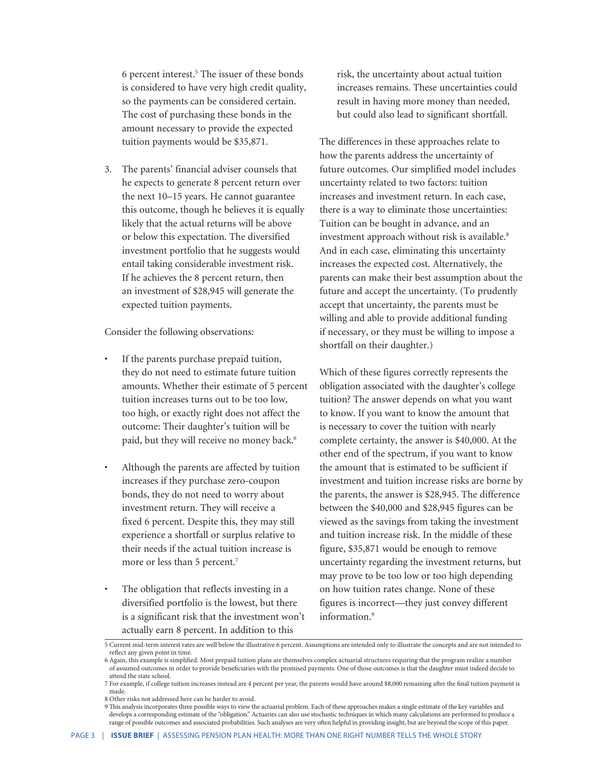6 percent interest.<sup>5</sup> The issuer of these bonds is considered to have very high credit quality, so the payments can be considered certain. The cost of purchasing these bonds in the amount necessary to provide the expected tuition payments would be \$35,871.

3. The parents' financial adviser counsels that he expects to generate 8 percent return over the next 10–15 years. He cannot guarantee this outcome, though he believes it is equally likely that the actual returns will be above or below this expectation. The diversified investment portfolio that he suggests would entail taking considerable investment risk. If he achieves the 8 percent return, then an investment of \$28,945 will generate the expected tuition payments.

Consider the following observations:

- If the parents purchase prepaid tuition, they do not need to estimate future tuition amounts. Whether their estimate of 5 percent tuition increases turns out to be too low, too high, or exactly right does not affect the outcome: Their daughter's tuition will be paid, but they will receive no money back.<sup>6</sup>
- Although the parents are affected by tuition increases if they purchase zero-coupon bonds, they do not need to worry about investment return. They will receive a fixed 6 percent. Despite this, they may still experience a shortfall or surplus relative to their needs if the actual tuition increase is more or less than 5 percent.<sup>7</sup>
- The obligation that reflects investing in a diversified portfolio is the lowest, but there is a significant risk that the investment won't actually earn 8 percent. In addition to this

risk, the uncertainty about actual tuition increases remains. These uncertainties could result in having more money than needed, but could also lead to significant shortfall.

The differences in these approaches relate to how the parents address the uncertainty of future outcomes. Our simplified model includes uncertainty related to two factors: tuition increases and investment return. In each case, there is a way to eliminate those uncertainties: Tuition can be bought in advance, and an investment approach without risk is available.<sup>8</sup> And in each case, eliminating this uncertainty increases the expected cost. Alternatively, the parents can make their best assumption about the future and accept the uncertainty. (To prudently accept that uncertainty, the parents must be willing and able to provide additional funding if necessary, or they must be willing to impose a shortfall on their daughter.)

Which of these figures correctly represents the obligation associated with the daughter's college tuition? The answer depends on what you want to know. If you want to know the amount that is necessary to cover the tuition with nearly complete certainty, the answer is \$40,000. At the other end of the spectrum, if you want to know the amount that is estimated to be sufficient if investment and tuition increase risks are borne by the parents, the answer is \$28,945. The difference between the \$40,000 and \$28,945 figures can be viewed as the savings from taking the investment and tuition increase risk. In the middle of these figure, \$35,871 would be enough to remove uncertainty regarding the investment returns, but may prove to be too low or too high depending on how tuition rates change. None of these figures is incorrect—they just convey different information.<sup>9</sup>

<sup>5</sup> Current mid-term interest rates are well below the illustrative 6 percent. Assumptions are intended only to illustrate the concepts and are not intended to reflect any given point in time.

<sup>6</sup> Again, this example is simplified. Most prepaid tuition plans are themselves complex actuarial structures requiring that the program realize a number of assumed outcomes in order to provide beneficiaries with the promised payments. One of those outcomes is that the daughter must indeed decide to attend the state school.

<sup>7</sup> For example, if college tuition increases instead are 4 percent per year, the parents would have around \$8,000 remaining after the final tuition payment is made.

<sup>8</sup> Other risks not addressed here can be harder to avoid.

<sup>9</sup> This analysis incorporates three possible ways to view the actuarial problem. Each of these approaches makes a single estimate of the key variables and develops a corresponding estimate of the "obligation." Actuaries can also use stochastic techniques in which many calculations are performed to produce a range of possible outcomes and associated probabilities. Such analyses are very often helpful in providing insight, but are beyond the scope of this paper.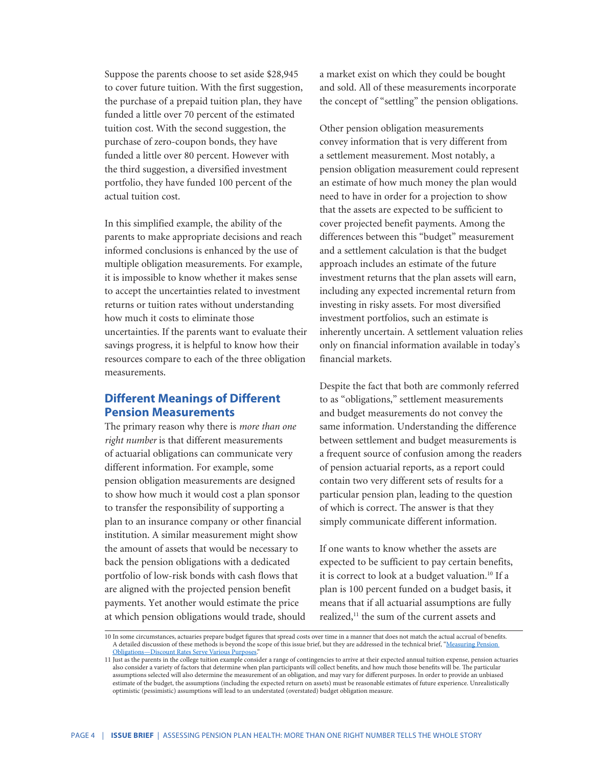Suppose the parents choose to set aside \$28,945 to cover future tuition. With the first suggestion, the purchase of a prepaid tuition plan, they have funded a little over 70 percent of the estimated tuition cost. With the second suggestion, the purchase of zero-coupon bonds, they have funded a little over 80 percent. However with the third suggestion, a diversified investment portfolio, they have funded 100 percent of the actual tuition cost.

In this simplified example, the ability of the parents to make appropriate decisions and reach informed conclusions is enhanced by the use of multiple obligation measurements. For example, it is impossible to know whether it makes sense to accept the uncertainties related to investment returns or tuition rates without understanding how much it costs to eliminate those uncertainties. If the parents want to evaluate their savings progress, it is helpful to know how their resources compare to each of the three obligation measurements.

### **Different Meanings of Different Pension Measurements**

The primary reason why there is *more than one right number* is that different measurements of actuarial obligations can communicate very different information. For example, some pension obligation measurements are designed to show how much it would cost a plan sponsor to transfer the responsibility of supporting a plan to an insurance company or other financial institution. A similar measurement might show the amount of assets that would be necessary to back the pension obligations with a dedicated portfolio of low-risk bonds with cash flows that are aligned with the projected pension benefit payments. Yet another would estimate the price at which pension obligations would trade, should a market exist on which they could be bought and sold. All of these measurements incorporate the concept of "settling" the pension obligations.

Other pension obligation measurements convey information that is very different from a settlement measurement. Most notably, a pension obligation measurement could represent an estimate of how much money the plan would need to have in order for a projection to show that the assets are expected to be sufficient to cover projected benefit payments. Among the differences between this "budget" measurement and a settlement calculation is that the budget approach includes an estimate of the future investment returns that the plan assets will earn, including any expected incremental return from investing in risky assets. For most diversified investment portfolios, such an estimate is inherently uncertain. A settlement valuation relies only on financial information available in today's financial markets.

Despite the fact that both are commonly referred to as "obligations," settlement measurements and budget measurements do not convey the same information. Understanding the difference between settlement and budget measurements is a frequent source of confusion among the readers of pension actuarial reports, as a report could contain two very different sets of results for a particular pension plan, leading to the question of which is correct. The answer is that they simply communicate different information.

If one wants to know whether the assets are expected to be sufficient to pay certain benefits, it is correct to look at a budget valuation.<sup>10</sup> If a plan is 100 percent funded on a budget basis, it means that if all actuarial assumptions are fully realized,<sup>11</sup> the sum of the current assets and

<sup>10</sup> In some circumstances, actuaries prepare budget figures that spread costs over time in a manner that does not match the actual accrual of benefits. A detailed discussion of these methods is beyond the scope of this issue brief, but they are addressed in the technical brief, "Measuring Pension [Obligations—Discount Rates Serve Various Purposes.](http://www.actuary.org/files/IB_Measuring-Pension-Obligations_Nov-21-2013.pdf)"

<sup>11</sup> Just as the parents in the college tuition example consider a range of contingencies to arrive at their expected annual tuition expense, pension actuaries also consider a variety of factors that determine when plan participants will collect benefits, and how much those benefits will be. The particular assumptions selected will also determine the measurement of an obligation, and may vary for different purposes. In order to provide an unbiased estimate of the budget, the assumptions (including the expected return on assets) must be reasonable estimates of future experience. Unrealistically optimistic (pessimistic) assumptions will lead to an understated (overstated) budget obligation measure.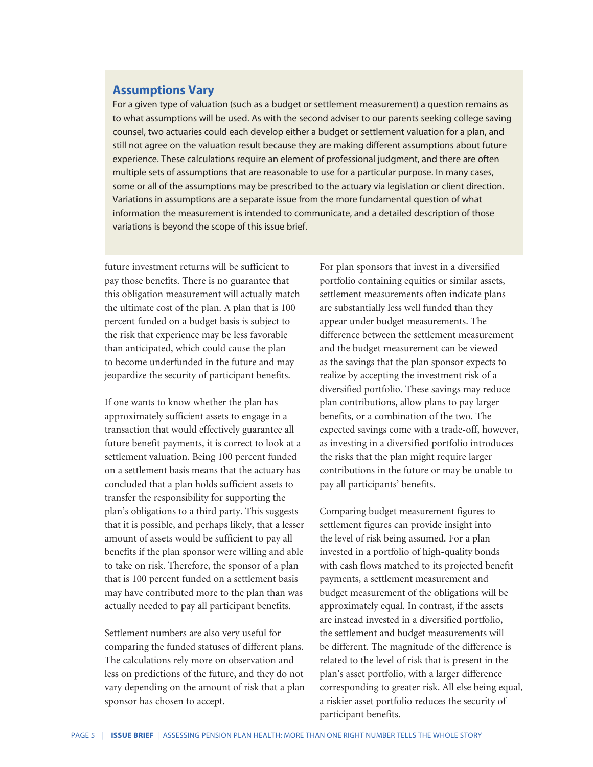### **Assumptions Vary**

For a given type of valuation (such as a budget or settlement measurement) a question remains as to what assumptions will be used. As with the second adviser to our parents seeking college saving counsel, two actuaries could each develop either a budget or settlement valuation for a plan, and still not agree on the valuation result because they are making different assumptions about future experience. These calculations require an element of professional judgment, and there are often multiple sets of assumptions that are reasonable to use for a particular purpose. In many cases, some or all of the assumptions may be prescribed to the actuary via legislation or client direction. Variations in assumptions are a separate issue from the more fundamental question of what information the measurement is intended to communicate, and a detailed description of those variations is beyond the scope of this issue brief.

future investment returns will be sufficient to pay those benefits. There is no guarantee that this obligation measurement will actually match the ultimate cost of the plan. A plan that is 100 percent funded on a budget basis is subject to the risk that experience may be less favorable than anticipated, which could cause the plan to become underfunded in the future and may jeopardize the security of participant benefits.

If one wants to know whether the plan has approximately sufficient assets to engage in a transaction that would effectively guarantee all future benefit payments, it is correct to look at a settlement valuation. Being 100 percent funded on a settlement basis means that the actuary has concluded that a plan holds sufficient assets to transfer the responsibility for supporting the plan's obligations to a third party. This suggests that it is possible, and perhaps likely, that a lesser amount of assets would be sufficient to pay all benefits if the plan sponsor were willing and able to take on risk. Therefore, the sponsor of a plan that is 100 percent funded on a settlement basis may have contributed more to the plan than was actually needed to pay all participant benefits.

Settlement numbers are also very useful for comparing the funded statuses of different plans. The calculations rely more on observation and less on predictions of the future, and they do not vary depending on the amount of risk that a plan sponsor has chosen to accept.

For plan sponsors that invest in a diversified portfolio containing equities or similar assets, settlement measurements often indicate plans are substantially less well funded than they appear under budget measurements. The difference between the settlement measurement and the budget measurement can be viewed as the savings that the plan sponsor expects to realize by accepting the investment risk of a diversified portfolio. These savings may reduce plan contributions, allow plans to pay larger benefits, or a combination of the two. The expected savings come with a trade-off, however, as investing in a diversified portfolio introduces the risks that the plan might require larger contributions in the future or may be unable to pay all participants' benefits.

Comparing budget measurement figures to settlement figures can provide insight into the level of risk being assumed. For a plan invested in a portfolio of high-quality bonds with cash flows matched to its projected benefit payments, a settlement measurement and budget measurement of the obligations will be approximately equal. In contrast, if the assets are instead invested in a diversified portfolio, the settlement and budget measurements will be different. The magnitude of the difference is related to the level of risk that is present in the plan's asset portfolio, with a larger difference corresponding to greater risk. All else being equal, a riskier asset portfolio reduces the security of participant benefits.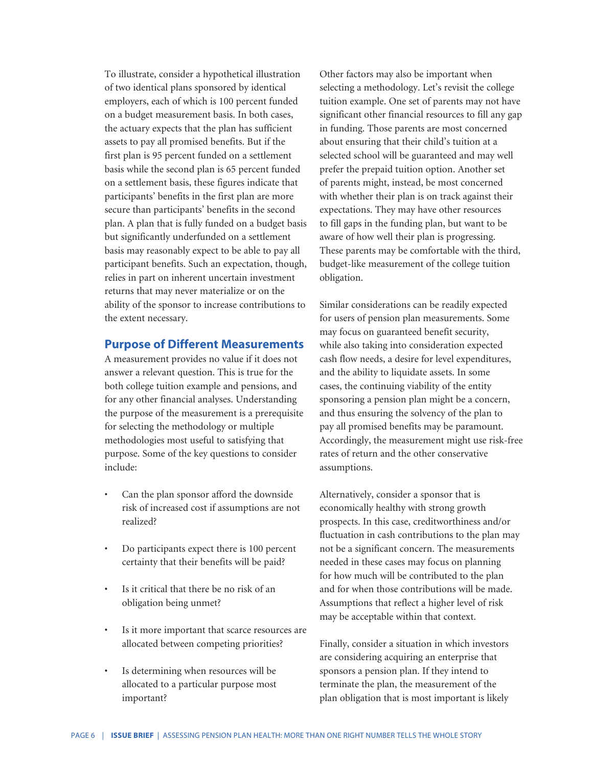To illustrate, consider a hypothetical illustration of two identical plans sponsored by identical employers, each of which is 100 percent funded on a budget measurement basis. In both cases, the actuary expects that the plan has sufficient assets to pay all promised benefits. But if the first plan is 95 percent funded on a settlement basis while the second plan is 65 percent funded on a settlement basis, these figures indicate that participants' benefits in the first plan are more secure than participants' benefits in the second plan. A plan that is fully funded on a budget basis but significantly underfunded on a settlement basis may reasonably expect to be able to pay all participant benefits. Such an expectation, though, relies in part on inherent uncertain investment returns that may never materialize or on the ability of the sponsor to increase contributions to the extent necessary.

#### **Purpose of Different Measurements**

A measurement provides no value if it does not answer a relevant question. This is true for the both college tuition example and pensions, and for any other financial analyses. Understanding the purpose of the measurement is a prerequisite for selecting the methodology or multiple methodologies most useful to satisfying that purpose. Some of the key questions to consider include:

- Can the plan sponsor afford the downside risk of increased cost if assumptions are not realized?
- Do participants expect there is 100 percent certainty that their benefits will be paid?
- Is it critical that there be no risk of an obligation being unmet?
- Is it more important that scarce resources are allocated between competing priorities?
- Is determining when resources will be allocated to a particular purpose most important?

Other factors may also be important when selecting a methodology. Let's revisit the college tuition example. One set of parents may not have significant other financial resources to fill any gap in funding. Those parents are most concerned about ensuring that their child's tuition at a selected school will be guaranteed and may well prefer the prepaid tuition option. Another set of parents might, instead, be most concerned with whether their plan is on track against their expectations. They may have other resources to fill gaps in the funding plan, but want to be aware of how well their plan is progressing. These parents may be comfortable with the third, budget-like measurement of the college tuition obligation.

Similar considerations can be readily expected for users of pension plan measurements. Some may focus on guaranteed benefit security, while also taking into consideration expected cash flow needs, a desire for level expenditures, and the ability to liquidate assets. In some cases, the continuing viability of the entity sponsoring a pension plan might be a concern, and thus ensuring the solvency of the plan to pay all promised benefits may be paramount. Accordingly, the measurement might use risk-free rates of return and the other conservative assumptions.

Alternatively, consider a sponsor that is economically healthy with strong growth prospects. In this case, creditworthiness and/or fluctuation in cash contributions to the plan may not be a significant concern. The measurements needed in these cases may focus on planning for how much will be contributed to the plan and for when those contributions will be made. Assumptions that reflect a higher level of risk may be acceptable within that context.

Finally, consider a situation in which investors are considering acquiring an enterprise that sponsors a pension plan. If they intend to terminate the plan, the measurement of the plan obligation that is most important is likely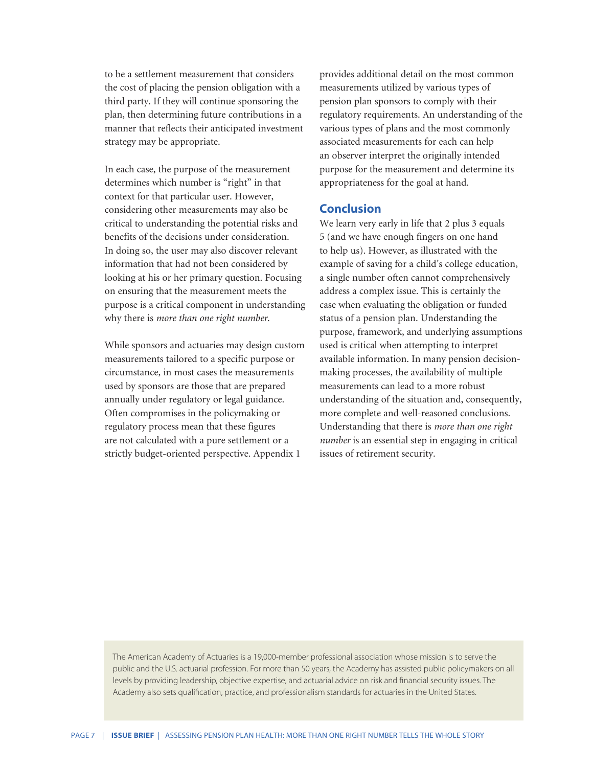to be a settlement measurement that considers the cost of placing the pension obligation with a third party. If they will continue sponsoring the plan, then determining future contributions in a manner that reflects their anticipated investment strategy may be appropriate.

In each case, the purpose of the measurement determines which number is "right" in that context for that particular user. However, considering other measurements may also be critical to understanding the potential risks and benefits of the decisions under consideration. In doing so, the user may also discover relevant information that had not been considered by looking at his or her primary question. Focusing on ensuring that the measurement meets the purpose is a critical component in understanding why there is *more than one right number*.

While sponsors and actuaries may design custom measurements tailored to a specific purpose or circumstance, in most cases the measurements used by sponsors are those that are prepared annually under regulatory or legal guidance. Often compromises in the policymaking or regulatory process mean that these figures are not calculated with a pure settlement or a strictly budget-oriented perspective. Appendix 1

provides additional detail on the most common measurements utilized by various types of pension plan sponsors to comply with their regulatory requirements. An understanding of the various types of plans and the most commonly associated measurements for each can help an observer interpret the originally intended purpose for the measurement and determine its appropriateness for the goal at hand.

#### **Conclusion**

We learn very early in life that 2 plus 3 equals 5 (and we have enough fingers on one hand to help us). However, as illustrated with the example of saving for a child's college education, a single number often cannot comprehensively address a complex issue. This is certainly the case when evaluating the obligation or funded status of a pension plan. Understanding the purpose, framework, and underlying assumptions used is critical when attempting to interpret available information. In many pension decisionmaking processes, the availability of multiple measurements can lead to a more robust understanding of the situation and, consequently, more complete and well-reasoned conclusions. Understanding that there is *more than one right number* is an essential step in engaging in critical issues of retirement security.

The American Academy of Actuaries is a 19,000-member professional association whose mission is to serve the public and the U.S. actuarial profession. For more than 50 years, the Academy has assisted public policymakers on all levels by providing leadership, objective expertise, and actuarial advice on risk and financial security issues. The Academy also sets qualification, practice, and professionalism standards for actuaries in the United States.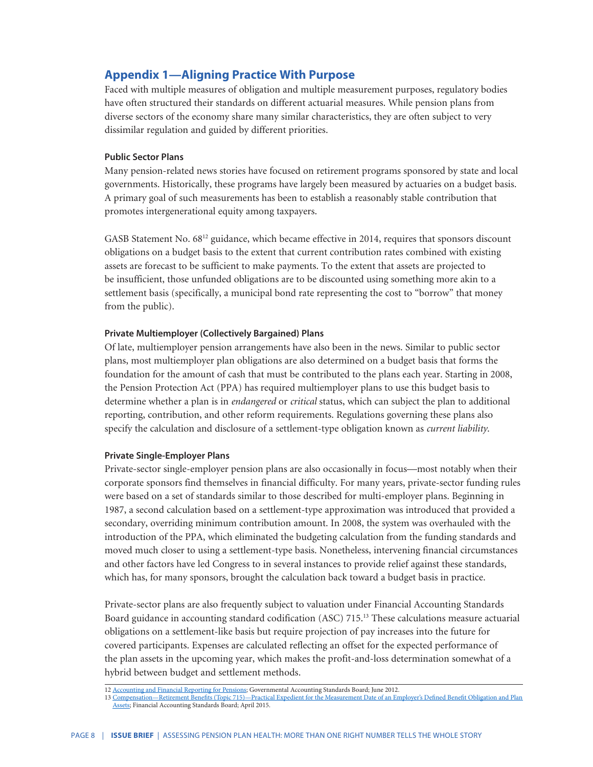## **Appendix 1—Aligning Practice With Purpose**

Faced with multiple measures of obligation and multiple measurement purposes, regulatory bodies have often structured their standards on different actuarial measures. While pension plans from diverse sectors of the economy share many similar characteristics, they are often subject to very dissimilar regulation and guided by different priorities.

#### **Public Sector Plans**

Many pension-related news stories have focused on retirement programs sponsored by state and local governments. Historically, these programs have largely been measured by actuaries on a budget basis. A primary goal of such measurements has been to establish a reasonably stable contribution that promotes intergenerational equity among taxpayers.

GASB Statement No. 68<sup>12</sup> guidance, which became effective in 2014, requires that sponsors discount obligations on a budget basis to the extent that current contribution rates combined with existing assets are forecast to be sufficient to make payments. To the extent that assets are projected to be insufficient, those unfunded obligations are to be discounted using something more akin to a settlement basis (specifically, a municipal bond rate representing the cost to "borrow" that money from the public).

#### **Private Multiemployer (Collectively Bargained) Plans**

Of late, multiemployer pension arrangements have also been in the news. Similar to public sector plans, most multiemployer plan obligations are also determined on a budget basis that forms the foundation for the amount of cash that must be contributed to the plans each year. Starting in 2008, the Pension Protection Act (PPA) has required multiemployer plans to use this budget basis to determine whether a plan is in *endangered* or *critical* status, which can subject the plan to additional reporting, contribution, and other reform requirements. Regulations governing these plans also specify the calculation and disclosure of a settlement-type obligation known as *current liability*.

#### **Private Single-Employer Plans**

Private-sector single-employer pension plans are also occasionally in focus—most notably when their corporate sponsors find themselves in financial difficulty. For many years, private-sector funding rules were based on a set of standards similar to those described for multi-employer plans. Beginning in 1987, a second calculation based on a settlement-type approximation was introduced that provided a secondary, overriding minimum contribution amount. In 2008, the system was overhauled with the introduction of the PPA, which eliminated the budgeting calculation from the funding standards and moved much closer to using a settlement-type basis. Nonetheless, intervening financial circumstances and other factors have led Congress to in several instances to provide relief against these standards, which has, for many sponsors, brought the calculation back toward a budget basis in practice.

Private-sector plans are also frequently subject to valuation under Financial Accounting Standards Board guidance in accounting standard codification (ASC) 715.13 These calculations measure actuarial obligations on a settlement-like basis but require projection of pay increases into the future for covered participants. Expenses are calculated reflecting an offset for the expected performance of the plan assets in the upcoming year, which makes the profit-and-loss determination somewhat of a hybrid between budget and settlement methods.

<sup>12</sup> [Accounting and Financial Reporting for Pensions](http://www.gasb.org/jsp/GASB/Document_C/GASBDocumentPage?cid=1176160220621&acceptedDisclaimer=true); Governmental Accounting Standards Board; June 2012.

<sup>13</sup> [Compensation—Retirement Benefits \(Topic 715\)—Practical Expedient for the Measurement Date of an Employer's Defined Benefit Obligation and Plan](https://asc.fasb.org/imageRoot/03/64938803.pdf)  [Assets;](https://asc.fasb.org/imageRoot/03/64938803.pdf) Financial Accounting Standards Board; April 2015.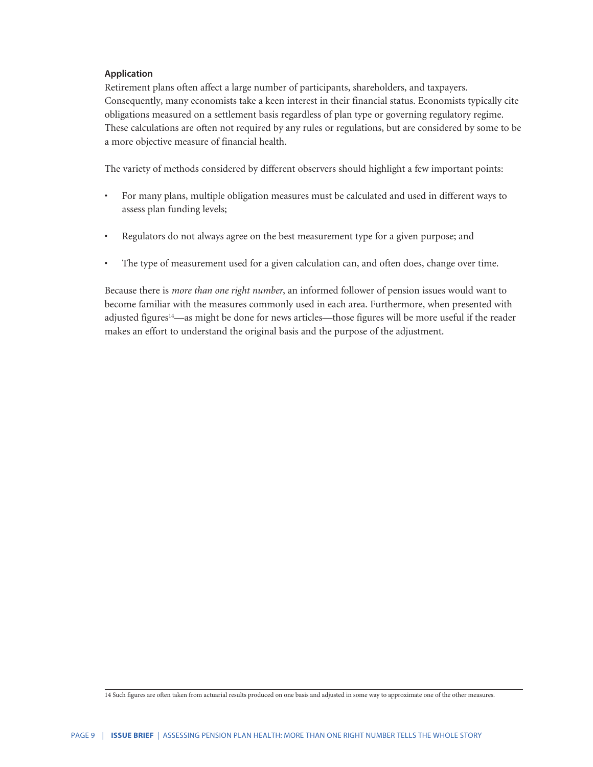#### **Application**

Retirement plans often affect a large number of participants, shareholders, and taxpayers. Consequently, many economists take a keen interest in their financial status. Economists typically cite obligations measured on a settlement basis regardless of plan type or governing regulatory regime. These calculations are often not required by any rules or regulations, but are considered by some to be a more objective measure of financial health.

The variety of methods considered by different observers should highlight a few important points:

- For many plans, multiple obligation measures must be calculated and used in different ways to assess plan funding levels;
- Regulators do not always agree on the best measurement type for a given purpose; and
- The type of measurement used for a given calculation can, and often does, change over time.

Because there is *more than one right number*, an informed follower of pension issues would want to become familiar with the measures commonly used in each area. Furthermore, when presented with adjusted figures<sup>14</sup>—as might be done for news articles—those figures will be more useful if the reader makes an effort to understand the original basis and the purpose of the adjustment.

<sup>14</sup> Such figures are often taken from actuarial results produced on one basis and adjusted in some way to approximate one of the other measures.